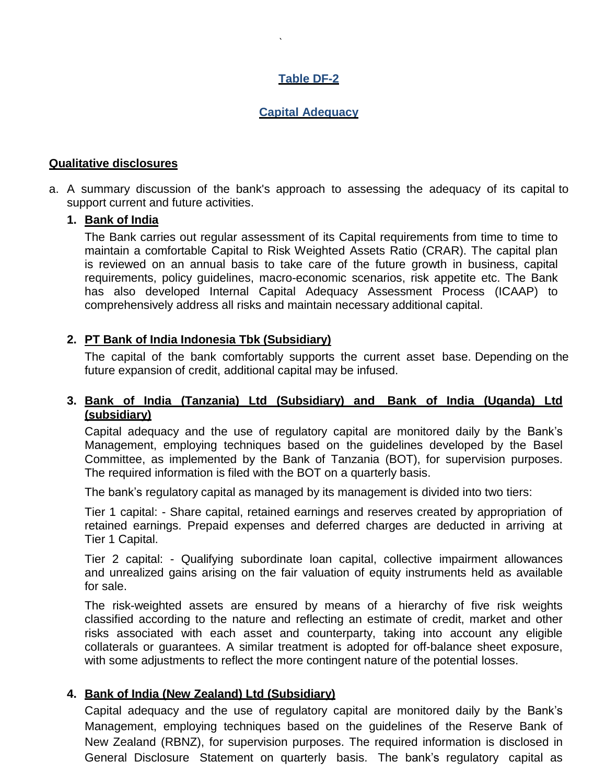# **Table DF-2**

`

# **Capital Adequacy**

## **Qualitative disclosures**

a. A summary discussion of the bank's approach to assessing the adequacy of its capital to support current and future activities.

## **1. Bank of India**

The Bank carries out regular assessment of its Capital requirements from time to time to maintain a comfortable Capital to Risk Weighted Assets Ratio (CRAR). The capital plan is reviewed on an annual basis to take care of the future growth in business, capital requirements, policy guidelines, macro-economic scenarios, risk appetite etc. The Bank has also developed Internal Capital Adequacy Assessment Process (ICAAP) to comprehensively address all risks and maintain necessary additional capital.

# **2. PT Bank of India Indonesia Tbk (Subsidiary)**

The capital of the bank comfortably supports the current asset base. Depending on the future expansion of credit, additional capital may be infused.

## **3. Bank of India (Tanzania) Ltd (Subsidiary) and Bank of India (Uganda) Ltd (subsidiary)**

Capital adequacy and the use of regulatory capital are monitored daily by the Bank"s Management, employing techniques based on the guidelines developed by the Basel Committee, as implemented by the Bank of Tanzania (BOT), for supervision purposes. The required information is filed with the BOT on a quarterly basis.

The bank"s regulatory capital as managed by its management is divided into two tiers:

Tier 1 capital: - Share capital, retained earnings and reserves created by appropriation of retained earnings. Prepaid expenses and deferred charges are deducted in arriving at Tier 1 Capital.

Tier 2 capital: - Qualifying subordinate loan capital, collective impairment allowances and unrealized gains arising on the fair valuation of equity instruments held as available for sale.

The risk-weighted assets are ensured by means of a hierarchy of five risk weights classified according to the nature and reflecting an estimate of credit, market and other risks associated with each asset and counterparty, taking into account any eligible collaterals or guarantees. A similar treatment is adopted for off-balance sheet exposure, with some adjustments to reflect the more contingent nature of the potential losses.

## **4. Bank of India (New Zealand) Ltd (Subsidiary)**

Capital adequacy and the use of regulatory capital are monitored daily by the Bank"s Management, employing techniques based on the guidelines of the Reserve Bank of New Zealand (RBNZ), for supervision purposes. The required information is disclosed in General Disclosure Statement on quarterly basis. The bank"s regulatory capital as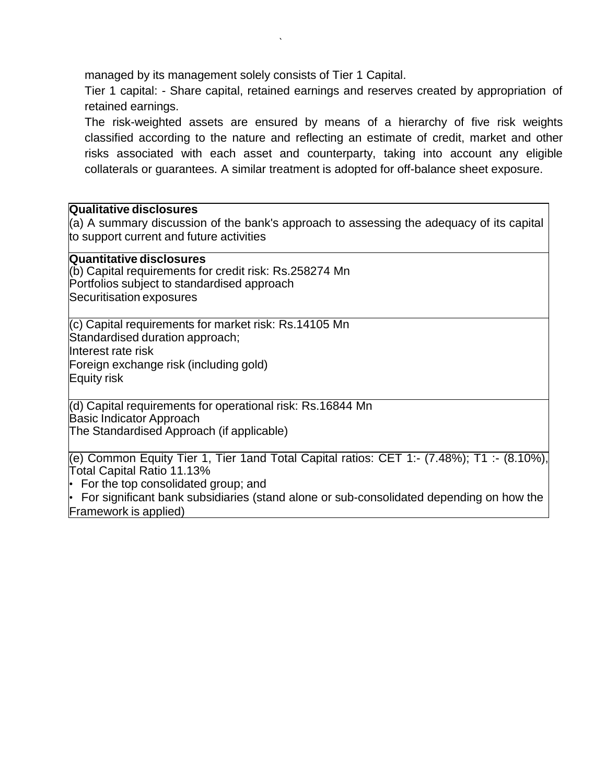managed by its management solely consists of Tier 1 Capital.

`

Tier 1 capital: - Share capital, retained earnings and reserves created by appropriation of retained earnings.

The risk-weighted assets are ensured by means of a hierarchy of five risk weights classified according to the nature and reflecting an estimate of credit, market and other risks associated with each asset and counterparty, taking into account any eligible collaterals or guarantees. A similar treatment is adopted for off-balance sheet exposure.

## **Qualitative disclosures**

(a) A summary discussion of the bank's approach to assessing the adequacy of its capital to support current and future activities

## **Quantitative disclosures**

(b) Capital requirements for credit risk: Rs.258274 Mn Portfolios subject to standardised approach • Securitisation exposures

(c) Capital requirements for market risk: Rs.14105 Mn Standardised duration approach; Interest rate risk Foreign exchange risk (including gold) **Equity risk** 

(d) Capital requirements for operational risk: Rs.16844 Mn **Basic Indicator Approach** • The Standardised Approach (if applicable)

(e) Common Equity Tier 1, Tier 1and Total Capital ratios: CET 1:- (7.48%); T1 :- (8.10%), Total Capital Ratio 11.13%

• For the top consolidated group; and

• For significant bank subsidiaries (stand alone or sub-consolidated depending on how the Framework is applied)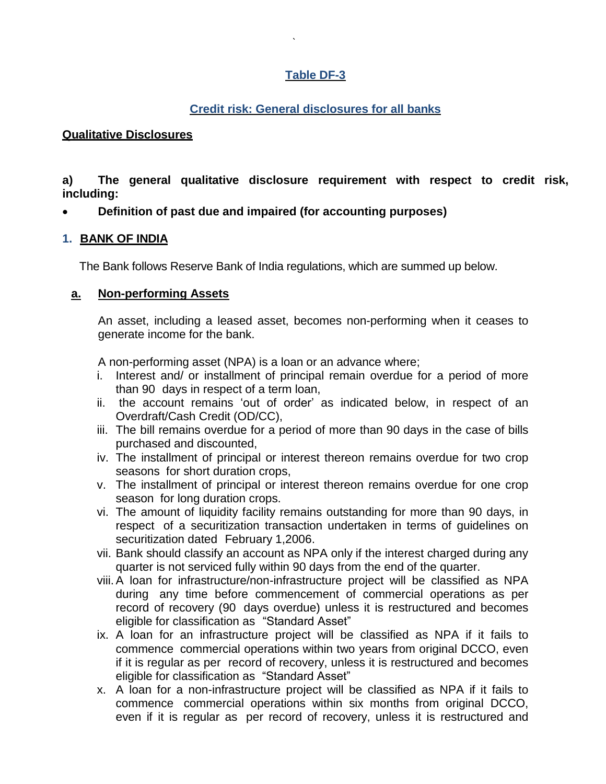# **Table DF-3**

`

# **Credit risk: General disclosures for all banks**

# **Qualitative Disclosures**

**a) The general qualitative disclosure requirement with respect to credit risk, including:**

**Definition of past due and impaired (for accounting purposes)** 

# **1. BANK OF INDIA**

The Bank follows Reserve Bank of India regulations, which are summed up below.

# **a. Non-performing Assets**

An asset, including a leased asset, becomes non-performing when it ceases to generate income for the bank.

A non-performing asset (NPA) is a loan or an advance where;

- i. Interest and/ or installment of principal remain overdue for a period of more than 90 days in respect of a term loan,
- ii. the account remains "out of order" as indicated below, in respect of an Overdraft/Cash Credit (OD/CC),
- iii. The bill remains overdue for a period of more than 90 days in the case of bills purchased and discounted,
- iv. The installment of principal or interest thereon remains overdue for two crop seasons for short duration crops,
- v. The installment of principal or interest thereon remains overdue for one crop season for long duration crops.
- vi. The amount of liquidity facility remains outstanding for more than 90 days, in respect of a securitization transaction undertaken in terms of guidelines on securitization dated February 1,2006.
- vii. Bank should classify an account as NPA only if the interest charged during any quarter is not serviced fully within 90 days from the end of the quarter.
- viii.A loan for infrastructure/non-infrastructure project will be classified as NPA during any time before commencement of commercial operations as per record of recovery (90 days overdue) unless it is restructured and becomes eligible for classification as "Standard Asset"
- ix. A loan for an infrastructure project will be classified as NPA if it fails to commence commercial operations within two years from original DCCO, even if it is regular as per record of recovery, unless it is restructured and becomes eligible for classification as "Standard Asset"
- x. A loan for a non-infrastructure project will be classified as NPA if it fails to commence commercial operations within six months from original DCCO, even if it is regular as per record of recovery, unless it is restructured and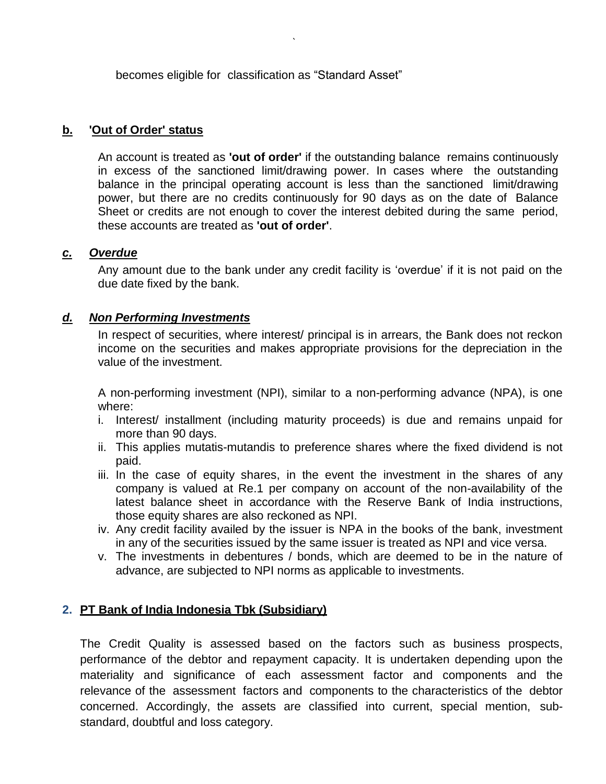becomes eligible for classification as "Standard Asset"

`

# **b. 'Out of Order' status**

An account is treated as **'out of order'** if the outstanding balance remains continuously in excess of the sanctioned limit/drawing power. In cases where the outstanding balance in the principal operating account is less than the sanctioned limit/drawing power, but there are no credits continuously for 90 days as on the date of Balance Sheet or credits are not enough to cover the interest debited during the same period, these accounts are treated as **'out of order'**.

## *c. Overdue*

Any amount due to the bank under any credit facility is 'overdue' if it is not paid on the due date fixed by the bank.

## *d. Non Performing Investments*

In respect of securities, where interest/ principal is in arrears, the Bank does not reckon income on the securities and makes appropriate provisions for the depreciation in the value of the investment.

A non-performing investment (NPI), similar to a non-performing advance (NPA), is one where:

- i. Interest/ installment (including maturity proceeds) is due and remains unpaid for more than 90 days.
- ii. This applies mutatis-mutandis to preference shares where the fixed dividend is not paid.
- iii. In the case of equity shares, in the event the investment in the shares of any company is valued at Re.1 per company on account of the non-availability of the latest balance sheet in accordance with the Reserve Bank of India instructions, those equity shares are also reckoned as NPI.
- iv. Any credit facility availed by the issuer is NPA in the books of the bank, investment in any of the securities issued by the same issuer is treated as NPI and vice versa.
- v. The investments in debentures / bonds, which are deemed to be in the nature of advance, are subjected to NPI norms as applicable to investments.

## **2. PT Bank of India Indonesia Tbk (Subsidiary)**

The Credit Quality is assessed based on the factors such as business prospects, performance of the debtor and repayment capacity. It is undertaken depending upon the materiality and significance of each assessment factor and components and the relevance of the assessment factors and components to the characteristics of the debtor concerned. Accordingly, the assets are classified into current, special mention, substandard, doubtful and loss category.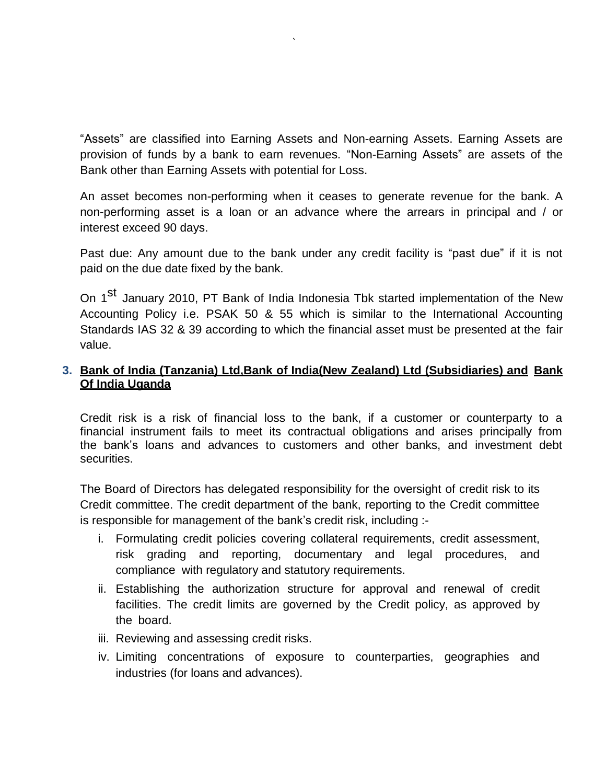"Assets" are classified into Earning Assets and Non-earning Assets. Earning Assets are provision of funds by a bank to earn revenues. "Non-Earning Assets" are assets of the Bank other than Earning Assets with potential for Loss.

`

An asset becomes non-performing when it ceases to generate revenue for the bank. A non-performing asset is a loan or an advance where the arrears in principal and / or interest exceed 90 days.

Past due: Any amount due to the bank under any credit facility is "past due" if it is not paid on the due date fixed by the bank.

On 1<sup>st</sup> January 2010, PT Bank of India Indonesia Tbk started implementation of the New Accounting Policy i.e. PSAK 50 & 55 which is similar to the International Accounting Standards IAS 32 & 39 according to which the financial asset must be presented at the fair value.

# **3. Bank of India (Tanzania) Ltd,Bank of India(New Zealand) Ltd (Subsidiaries) and Bank Of India Uganda**

Credit risk is a risk of financial loss to the bank, if a customer or counterparty to a financial instrument fails to meet its contractual obligations and arises principally from the bank"s loans and advances to customers and other banks, and investment debt securities.

The Board of Directors has delegated responsibility for the oversight of credit risk to its Credit committee. The credit department of the bank, reporting to the Credit committee is responsible for management of the bank's credit risk, including :-

- i. Formulating credit policies covering collateral requirements, credit assessment, risk grading and reporting, documentary and legal procedures, and compliance with regulatory and statutory requirements.
- ii. Establishing the authorization structure for approval and renewal of credit facilities. The credit limits are governed by the Credit policy, as approved by the board.
- iii. Reviewing and assessing credit risks.
- iv. Limiting concentrations of exposure to counterparties, geographies and industries (for loans and advances).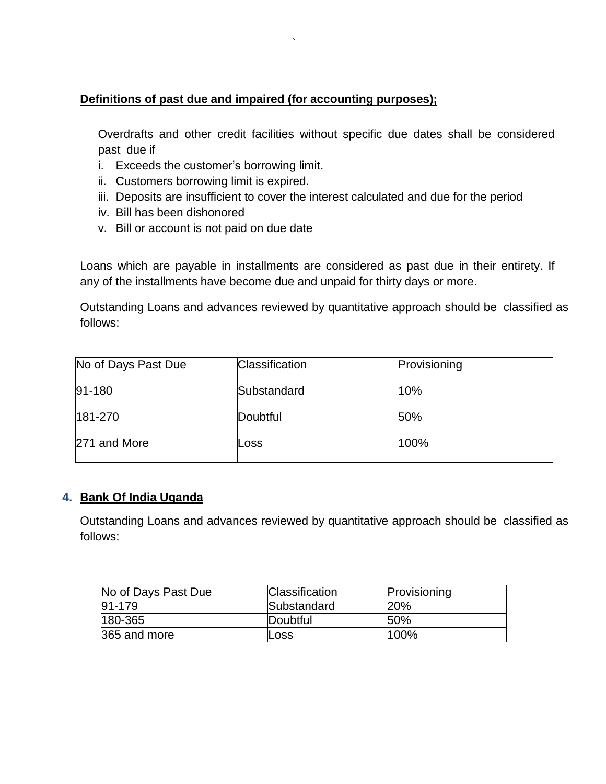# **Definitions of past due and impaired (for accounting purposes);**

`

Overdrafts and other credit facilities without specific due dates shall be considered past due if

- i. Exceeds the customer"s borrowing limit.
- ii. Customers borrowing limit is expired.
- iii. Deposits are insufficient to cover the interest calculated and due for the period
- iv. Bill has been dishonored
- v. Bill or account is not paid on due date

Loans which are payable in installments are considered as past due in their entirety. If any of the installments have become due and unpaid for thirty days or more.

Outstanding Loans and advances reviewed by quantitative approach should be classified as follows:

| No of Days Past Due | <b>Classification</b> | Provisioning |
|---------------------|-----------------------|--------------|
| $91 - 180$          | Substandard           | 10%          |
| 181-270             | Doubtful              | 50%          |
| 271 and More        | Loss                  | 100%         |

## **4. Bank Of India Uganda**

Outstanding Loans and advances reviewed by quantitative approach should be classified as follows:

| No of Days Past Due | <b>Classification</b> | Provisioning |
|---------------------|-----------------------|--------------|
| $91 - 179$          | Substandard           | 20%          |
| 180-365             | Doubtful              | 150%         |
| 365 and more        | Loss                  | $100\%$      |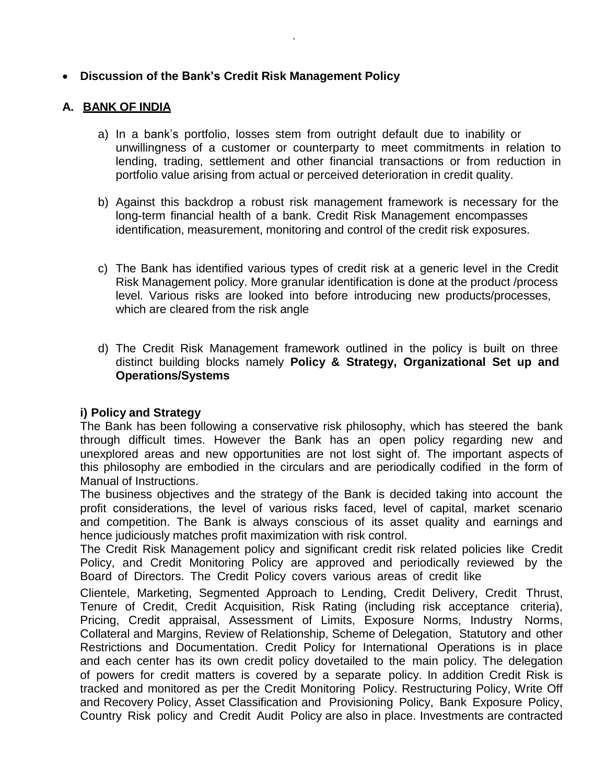# **Discussion of the Bank's Credit Risk Management Policy**

## **A. BANK OF INDIA**

a) In a bank"s portfolio, losses stem from outright default due to inability or unwillingness of a customer or counterparty to meet commitments in relation to lending, trading, settlement and other financial transactions or from reduction in portfolio value arising from actual or perceived deterioration in credit quality.

`

- b) Against this backdrop a robust risk management framework is necessary for the long-term financial health of a bank. Credit Risk Management encompasses identification, measurement, monitoring and control of the credit risk exposures.
- c) The Bank has identified various types of credit risk at a generic level in the Credit Risk Management policy. More granular identification is done at the product /process level. Various risks are looked into before introducing new products/processes, which are cleared from the risk angle
- d) The Credit Risk Management framework outlined in the policy is built on three distinct building blocks namely **Policy & Strategy, Organizational Set up and Operations/Systems**

## **i) Policy and Strategy**

The Bank has been following a conservative risk philosophy, which has steered the bank through difficult times. However the Bank has an open policy regarding new and unexplored areas and new opportunities are not lost sight of. The important aspects of this philosophy are embodied in the circulars and are periodically codified in the form of Manual of Instructions.

The business objectives and the strategy of the Bank is decided taking into account the profit considerations, the level of various risks faced, level of capital, market scenario and competition. The Bank is always conscious of its asset quality and earnings and hence judiciously matches profit maximization with risk control.

The Credit Risk Management policy and significant credit risk related policies like Credit Policy, and Credit Monitoring Policy are approved and periodically reviewed by the Board of Directors. The Credit Policy covers various areas of credit like

Clientele, Marketing, Segmented Approach to Lending, Credit Delivery, Credit Thrust, Tenure of Credit, Credit Acquisition, Risk Rating (including risk acceptance criteria), Pricing, Credit appraisal, Assessment of Limits, Exposure Norms, Industry Norms, Collateral and Margins, Review of Relationship, Scheme of Delegation, Statutory and other Restrictions and Documentation. Credit Policy for International Operations is in place and each center has its own credit policy dovetailed to the main policy. The delegation of powers for credit matters is covered by a separate policy. In addition Credit Risk is tracked and monitored as per the Credit Monitoring Policy. Restructuring Policy, Write Off and Recovery Policy, Asset Classification and Provisioning Policy, Bank Exposure Policy, Country Risk policy and Credit Audit Policy are also in place. Investments are contracted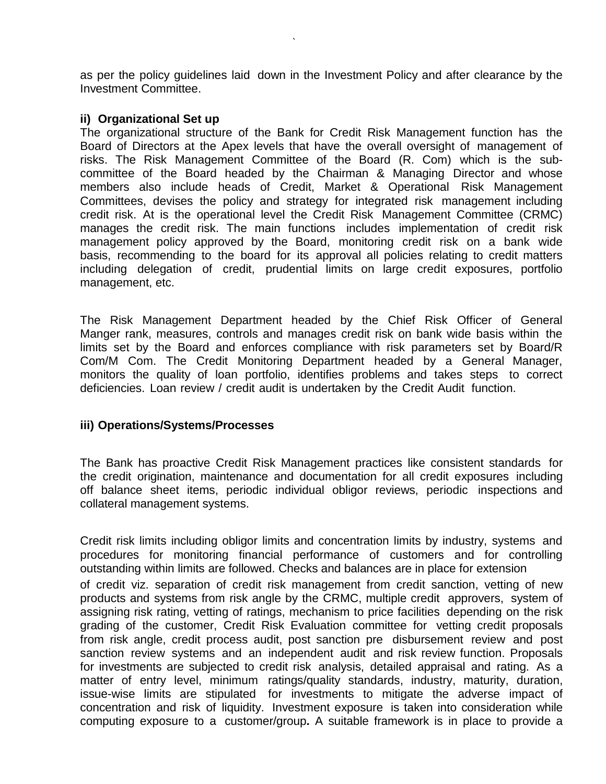as per the policy guidelines laid down in the Investment Policy and after clearance by the Investment Committee.

`

#### **ii) Organizational Set up**

The organizational structure of the Bank for Credit Risk Management function has the Board of Directors at the Apex levels that have the overall oversight of management of risks. The Risk Management Committee of the Board (R. Com) which is the subcommittee of the Board headed by the Chairman & Managing Director and whose members also include heads of Credit, Market & Operational Risk Management Committees, devises the policy and strategy for integrated risk management including credit risk. At is the operational level the Credit Risk Management Committee (CRMC) manages the credit risk. The main functions includes implementation of credit risk management policy approved by the Board, monitoring credit risk on a bank wide basis, recommending to the board for its approval all policies relating to credit matters including delegation of credit, prudential limits on large credit exposures, portfolio management, etc.

The Risk Management Department headed by the Chief Risk Officer of General Manger rank, measures, controls and manages credit risk on bank wide basis within the limits set by the Board and enforces compliance with risk parameters set by Board/R Com/M Com. The Credit Monitoring Department headed by a General Manager, monitors the quality of loan portfolio, identifies problems and takes steps to correct deficiencies. Loan review / credit audit is undertaken by the Credit Audit function.

#### **iii) Operations/Systems/Processes**

The Bank has proactive Credit Risk Management practices like consistent standards for the credit origination, maintenance and documentation for all credit exposures including off balance sheet items, periodic individual obligor reviews, periodic inspections and collateral management systems.

Credit risk limits including obligor limits and concentration limits by industry, systems and procedures for monitoring financial performance of customers and for controlling outstanding within limits are followed. Checks and balances are in place for extension of credit viz. separation of credit risk management from credit sanction, vetting of new products and systems from risk angle by the CRMC, multiple credit approvers, system of assigning risk rating, vetting of ratings, mechanism to price facilities depending on the risk grading of the customer, Credit Risk Evaluation committee for vetting credit proposals from risk angle, credit process audit, post sanction pre disbursement review and post sanction review systems and an independent audit and risk review function. Proposals for investments are subjected to credit risk analysis, detailed appraisal and rating. As a matter of entry level, minimum ratings/quality standards, industry, maturity, duration, issue-wise limits are stipulated for investments to mitigate the adverse impact of concentration and risk of liquidity. Investment exposure is taken into consideration while computing exposure to a customer/group**.** A suitable framework is in place to provide a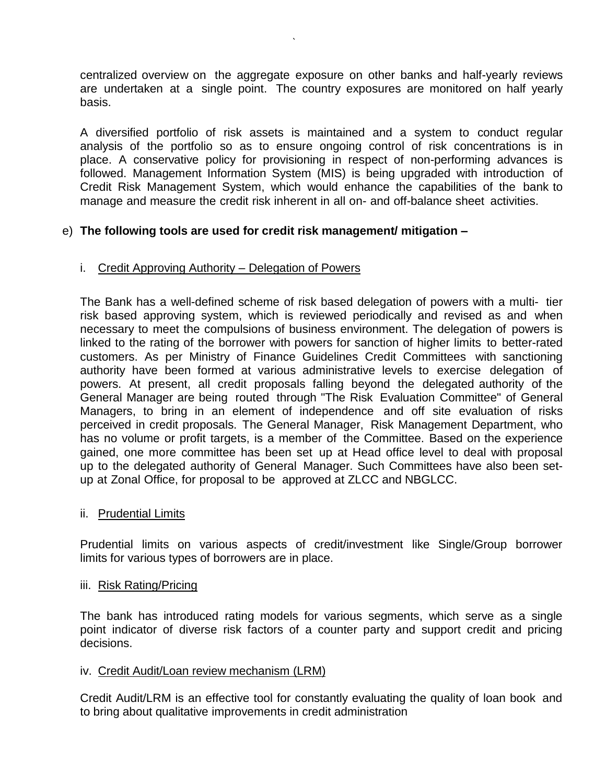centralized overview on the aggregate exposure on other banks and half-yearly reviews are undertaken at a single point. The country exposures are monitored on half yearly basis.

`

A diversified portfolio of risk assets is maintained and a system to conduct regular analysis of the portfolio so as to ensure ongoing control of risk concentrations is in place. A conservative policy for provisioning in respect of non-performing advances is followed. Management Information System (MIS) is being upgraded with introduction of Credit Risk Management System, which would enhance the capabilities of the bank to manage and measure the credit risk inherent in all on- and off-balance sheet activities.

## e) **The following tools are used for credit risk management/ mitigation –**

#### i. Credit Approving Authority – Delegation of Powers

The Bank has a well-defined scheme of risk based delegation of powers with a multi- tier risk based approving system, which is reviewed periodically and revised as and when necessary to meet the compulsions of business environment. The delegation of powers is linked to the rating of the borrower with powers for sanction of higher limits to better-rated customers. As per Ministry of Finance Guidelines Credit Committees with sanctioning authority have been formed at various administrative levels to exercise delegation of powers. At present, all credit proposals falling beyond the delegated authority of the General Manager are being routed through "The Risk Evaluation Committee" of General Managers, to bring in an element of independence and off site evaluation of risks perceived in credit proposals. The General Manager, Risk Management Department, who has no volume or profit targets, is a member of the Committee. Based on the experience gained, one more committee has been set up at Head office level to deal with proposal up to the delegated authority of General Manager. Such Committees have also been setup at Zonal Office, for proposal to be approved at ZLCC and NBGLCC.

#### ii. Prudential Limits

Prudential limits on various aspects of credit/investment like Single/Group borrower limits for various types of borrowers are in place.

#### iii. Risk Rating/Pricing

The bank has introduced rating models for various segments, which serve as a single point indicator of diverse risk factors of a counter party and support credit and pricing decisions.

#### iv. Credit Audit/Loan review mechanism (LRM)

Credit Audit/LRM is an effective tool for constantly evaluating the quality of loan book and to bring about qualitative improvements in credit administration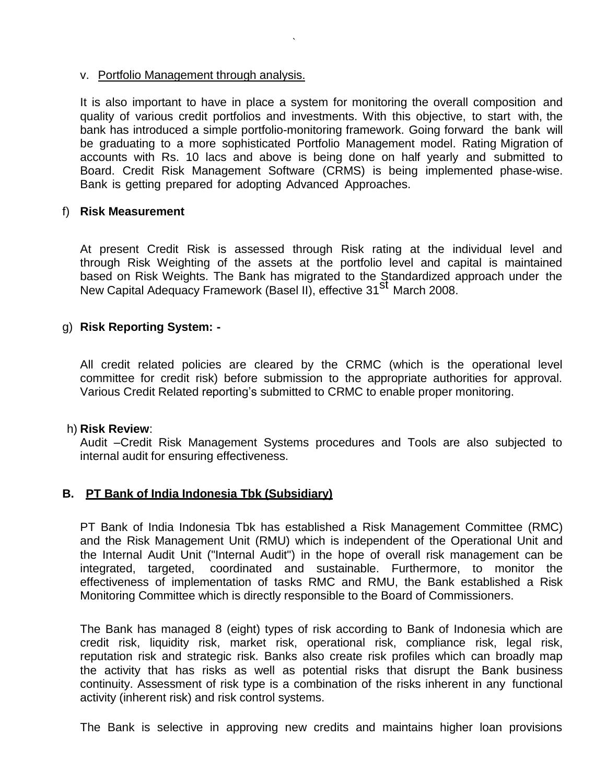#### v. Portfolio Management through analysis.

It is also important to have in place a system for monitoring the overall composition and quality of various credit portfolios and investments. With this objective, to start with, the bank has introduced a simple portfolio-monitoring framework. Going forward the bank will be graduating to a more sophisticated Portfolio Management model. Rating Migration of accounts with Rs. 10 lacs and above is being done on half yearly and submitted to Board. Credit Risk Management Software (CRMS) is being implemented phase-wise. Bank is getting prepared for adopting Advanced Approaches.

`

#### f) **Risk Measurement**

At present Credit Risk is assessed through Risk rating at the individual level and through Risk Weighting of the assets at the portfolio level and capital is maintained based on Risk Weights. The Bank has migrated to the Standardized approach under the based on new moights. The Bank has migrated to the etailed algebra.<br>New Capital Adequacy Framework (Basel II), effective 31<sup>St</sup> March 2008.

#### g) **Risk Reporting System: -**

All credit related policies are cleared by the CRMC (which is the operational level committee for credit risk) before submission to the appropriate authorities for approval. Various Credit Related reporting"s submitted to CRMC to enable proper monitoring.

#### h) **Risk Review**:

Audit –Credit Risk Management Systems procedures and Tools are also subjected to internal audit for ensuring effectiveness.

#### **B. PT Bank of India Indonesia Tbk (Subsidiary)**

PT Bank of India Indonesia Tbk has established a Risk Management Committee (RMC) and the Risk Management Unit (RMU) which is independent of the Operational Unit and the Internal Audit Unit ("Internal Audit") in the hope of overall risk management can be integrated, targeted, coordinated and sustainable. Furthermore, to monitor the effectiveness of implementation of tasks RMC and RMU, the Bank established a Risk Monitoring Committee which is directly responsible to the Board of Commissioners.

The Bank has managed 8 (eight) types of risk according to Bank of Indonesia which are credit risk, liquidity risk, market risk, operational risk, compliance risk, legal risk, reputation risk and strategic risk. Banks also create risk profiles which can broadly map the activity that has risks as well as potential risks that disrupt the Bank business continuity. Assessment of risk type is a combination of the risks inherent in any functional activity (inherent risk) and risk control systems.

The Bank is selective in approving new credits and maintains higher loan provisions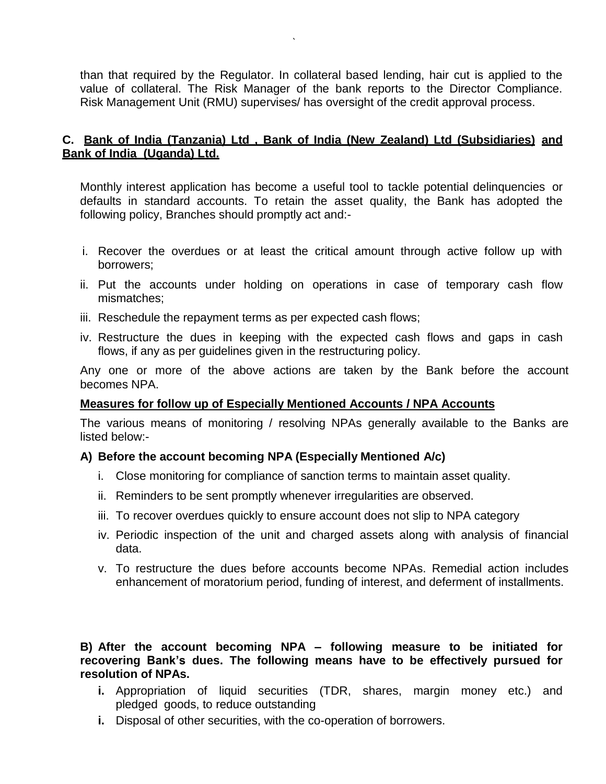than that required by the Regulator. In collateral based lending, hair cut is applied to the value of collateral. The Risk Manager of the bank reports to the Director Compliance. Risk Management Unit (RMU) supervises/ has oversight of the credit approval process.

`

## **C. Bank of India (Tanzania) Ltd , Bank of India (New Zealand) Ltd (Subsidiaries) and Bank of India (Uganda) Ltd.**

Monthly interest application has become a useful tool to tackle potential delinquencies or defaults in standard accounts. To retain the asset quality, the Bank has adopted the following policy, Branches should promptly act and:-

- i. Recover the overdues or at least the critical amount through active follow up with borrowers;
- ii. Put the accounts under holding on operations in case of temporary cash flow mismatches;
- iii. Reschedule the repayment terms as per expected cash flows;
- iv. Restructure the dues in keeping with the expected cash flows and gaps in cash flows, if any as per guidelines given in the restructuring policy.

Any one or more of the above actions are taken by the Bank before the account becomes NPA.

#### **Measures for follow up of Especially Mentioned Accounts / NPA Accounts**

The various means of monitoring / resolving NPAs generally available to the Banks are listed below:-

#### **A) Before the account becoming NPA (Especially Mentioned A/c)**

- i. Close monitoring for compliance of sanction terms to maintain asset quality.
- ii. Reminders to be sent promptly whenever irregularities are observed.
- iii. To recover overdues quickly to ensure account does not slip to NPA category
- iv. Periodic inspection of the unit and charged assets along with analysis of financial data.
- v. To restructure the dues before accounts become NPAs. Remedial action includes enhancement of moratorium period, funding of interest, and deferment of installments.

**B) After the account becoming NPA – following measure to be initiated for recovering Bank's dues. The following means have to be effectively pursued for resolution of NPAs.**

- **i.** Appropriation of liquid securities (TDR, shares, margin money etc.) and pledged goods, to reduce outstanding
- **i.** Disposal of other securities, with the co-operation of borrowers.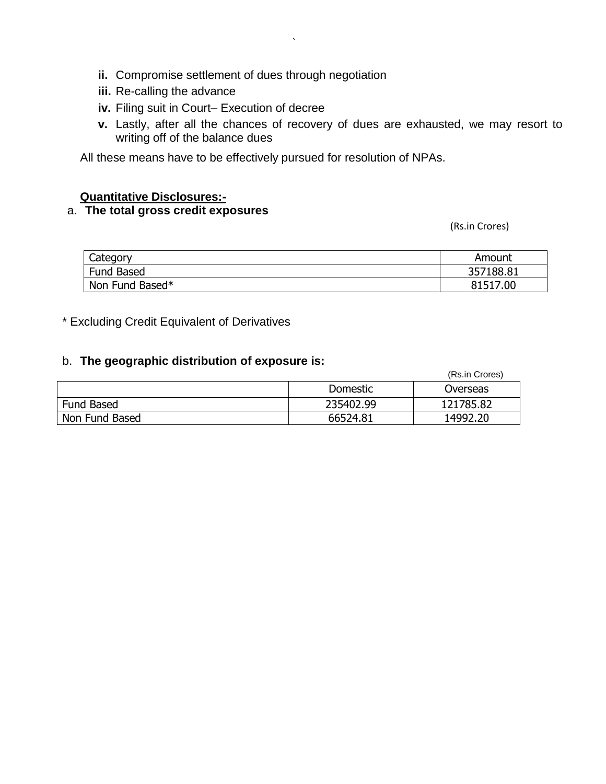- **ii.** Compromise settlement of dues through negotiation
- **iii.** Re-calling the advance
- **iv.** Filing suit in Court– Execution of decree
- **v.** Lastly, after all the chances of recovery of dues are exhausted, we may resort to writing off of the balance dues

All these means have to be effectively pursued for resolution of NPAs.

`

#### **Quantitative Disclosures:-**

## a. **The total gross credit exposures**

(Rs.in Crores)

| Category        | Amount    |
|-----------------|-----------|
| Fund Based      | 357188.81 |
| Non Fund Based* | 81517.00  |

\* Excluding Credit Equivalent of Derivatives

# b. **The geographic distribution of exposure is:**

|                   |           | (Rs.in Crores) |
|-------------------|-----------|----------------|
|                   | Domestic  | Overseas       |
| <b>Fund Based</b> | 235402.99 | 121785.82      |
| Non Fund Based    | 66524.81  | 14992.20       |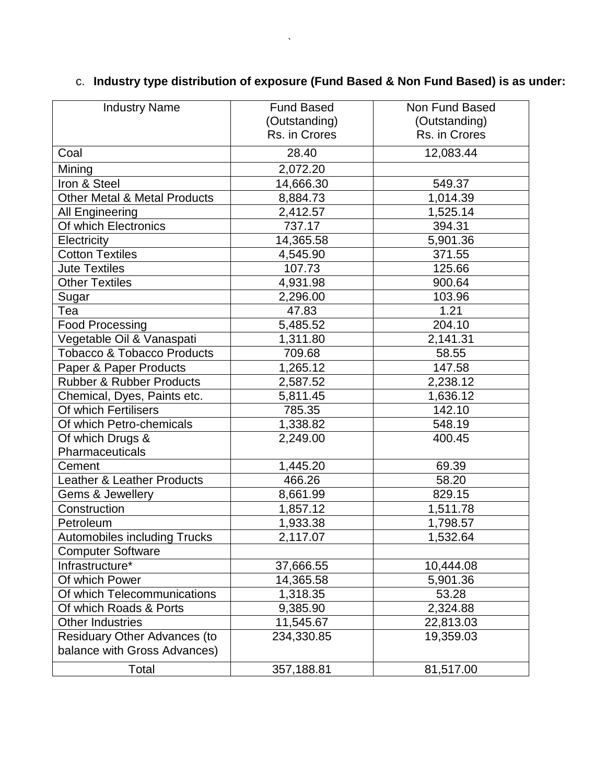| <b>Industry Name</b>                    | <b>Fund Based</b> | Non Fund Based |
|-----------------------------------------|-------------------|----------------|
|                                         | (Outstanding)     | (Outstanding)  |
|                                         | Rs. in Crores     | Rs. in Crores  |
| Coal                                    | 28.40             | 12,083.44      |
| Mining                                  | 2,072.20          |                |
| Iron & Steel                            | 14,666.30         | 549.37         |
| <b>Other Metal &amp; Metal Products</b> | 8,884.73          | 1,014.39       |
| All Engineering                         | 2,412.57          | 1,525.14       |
| Of which Electronics                    | 737.17            | 394.31         |
| Electricity                             | 14,365.58         | 5,901.36       |
| <b>Cotton Textiles</b>                  | 4,545.90          | 371.55         |
| <b>Jute Textiles</b>                    | 107.73            | 125.66         |
| <b>Other Textiles</b>                   | 4,931.98          | 900.64         |
| Sugar                                   | 2,296.00          | 103.96         |
| Tea                                     | 47.83             | 1.21           |
| <b>Food Processing</b>                  | 5,485.52          | 204.10         |
| Vegetable Oil & Vanaspati               | 1,311.80          | 2,141.31       |
| <b>Tobacco &amp; Tobacco Products</b>   | 709.68            | 58.55          |
| Paper & Paper Products                  | 1,265.12          | 147.58         |
| <b>Rubber &amp; Rubber Products</b>     | 2,587.52          | 2,238.12       |
| Chemical, Dyes, Paints etc.             | 5,811.45          | 1,636.12       |
| Of which Fertilisers                    | 785.35            | 142.10         |
| Of which Petro-chemicals                | 1,338.82          | 548.19         |
| Of which Drugs &                        | 2,249.00          | 400.45         |
| Pharmaceuticals                         |                   |                |
| Cement                                  | 1,445.20          | 69.39          |
| <b>Leather &amp; Leather Products</b>   | 466.26            | 58.20          |
| Gems & Jewellery                        | 8,661.99          | 829.15         |
| Construction                            | 1,857.12          | 1,511.78       |
| Petroleum                               | 1,933.38          | 1,798.57       |
| <b>Automobiles including Trucks</b>     | 2,117.07          | 1,532.64       |
| <b>Computer Software</b>                |                   |                |
| Infrastructure*                         | 37,666.55         | 10,444.08      |
| Of which Power                          | 14,365.58         | 5,901.36       |
| Of which Telecommunications             | 1,318.35          | 53.28          |
| Of which Roads & Ports                  | 9,385.90          | 2,324.88       |
| <b>Other Industries</b>                 | 11,545.67         | 22,813.03      |
| <b>Residuary Other Advances (to</b>     | 234,330.85        | 19,359.03      |
| balance with Gross Advances)            |                   |                |
| Total                                   | 357,188.81        | 81,517.00      |

# c. **Industry type distribution of exposure (Fund Based & Non Fund Based) is as under:**

 $\mathcal{L}^{\text{max}}_{\text{max}}$  . The  $\mathcal{L}^{\text{max}}_{\text{max}}$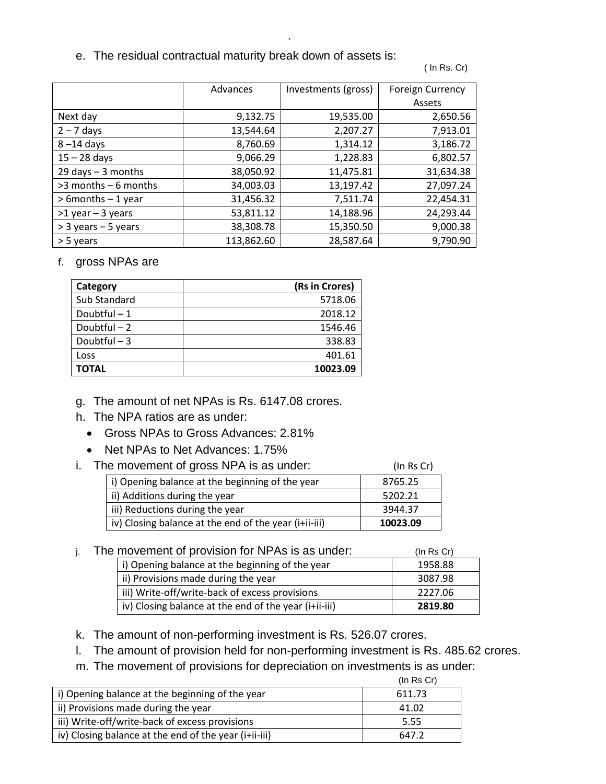e. The residual contractual maturity break down of assets is:

( In Rs. Cr)

|                         | Advances   | Investments (gross) | <b>Foreign Currency</b><br>Assets |
|-------------------------|------------|---------------------|-----------------------------------|
| Next day                | 9,132.75   | 19,535.00           | 2,650.56                          |
| $2 - 7$ days            | 13,544.64  | 2,207.27            | 7,913.01                          |
| $8 - 14$ days           | 8,760.69   | 1,314.12            | 3,186.72                          |
| $15 - 28$ days          | 9,066.29   | 1,228.83            | 6,802.57                          |
| $29$ days $-3$ months   | 38,050.92  | 11,475.81           | 31,634.38                         |
| $>3$ months $-6$ months | 34,003.03  | 13,197.42           | 27,097.24                         |
| $>$ 6 months $-1$ year  | 31,456.32  | 7,511.74            | 22,454.31                         |
| $>1$ year - 3 years     | 53,811.12  | 14,188.96           | 24,293.44                         |
| $>$ 3 years – 5 years   | 38,308.78  | 15,350.50           | 9,000.38                          |
| > 5 years               | 113,862.60 | 28,587.64           | 9,790.90                          |

`

f. gross NPAs are

| Category     | (Rs in Crores) |
|--------------|----------------|
| Sub Standard | 5718.06        |
| Doubtful-1   | 2018.12        |
| Doubtful - 2 | 1546.46        |
| Doubtful-3   | 338.83         |
| Loss         | 401.61         |
| ΤΟΤΑL        | 10023.09       |

g. The amount of net NPAs is Rs. 6147.08 crores.

- h. The NPA ratios are as under:
	- Gross NPAs to Gross Advances: 2.81%
	- Net NPAs to Net Advances: 1.75%
- i. The movement of gross NPA is as under: (In Rs Cr)

| i) Opening balance at the beginning of the year       | 8765.25  |
|-------------------------------------------------------|----------|
| ii) Additions during the year                         | 5202.21  |
| iii) Reductions during the year                       | 3944.37  |
| iv) Closing balance at the end of the year (i+ii-iii) | 10023.09 |

#### $i.$  The movement of provision for NPAs is as under:  $(1n \text{ Rs Cr})$

|                                                       | . <i>.</i> |
|-------------------------------------------------------|------------|
| i) Opening balance at the beginning of the year       | 1958.88    |
| ii) Provisions made during the year                   | 3087.98    |
| iii) Write-off/write-back of excess provisions        | 2227.06    |
| iv) Closing balance at the end of the year (i+ii-iii) | 2819.80    |

k. The amount of non-performing investment is Rs. 526.07 crores.

- l. The amount of provision held for non-performing investment is Rs. 485.62 crores.
- m. The movement of provisions for depreciation on investments is as under:

|                                                       | $(ln \, Rs \, Cr)$ |
|-------------------------------------------------------|--------------------|
| i) Opening balance at the beginning of the year       | 611.73             |
| ii) Provisions made during the year                   | 41.02              |
| iii) Write-off/write-back of excess provisions        | 5.55               |
| iv) Closing balance at the end of the year (i+ii-iii) | 647.2              |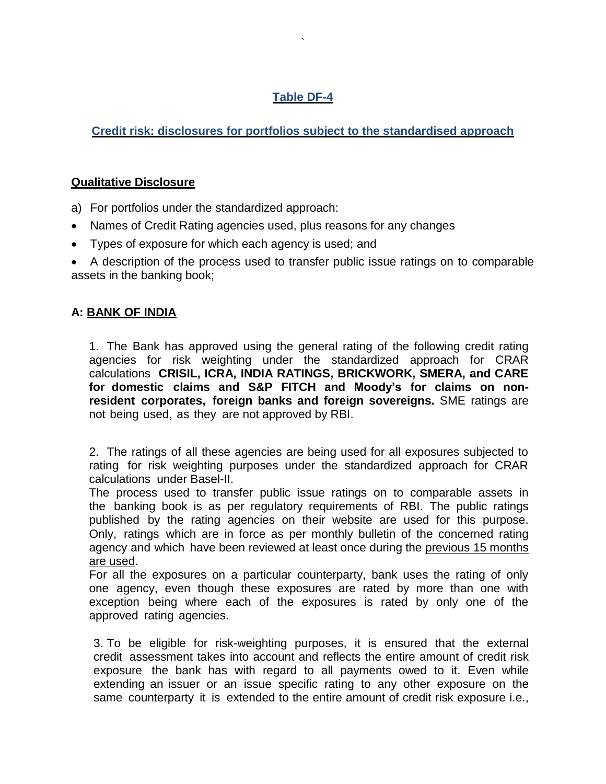# **Table DF-4**

`

**Credit risk: disclosures for portfolios subject to the standardised approach**

## **Qualitative Disclosure**

- a) For portfolios under the standardized approach:
- Names of Credit Rating agencies used, plus reasons for any changes
- Types of exposure for which each agency is used; and

 A description of the process used to transfer public issue ratings on to comparable assets in the banking book;

# **A: BANK OF INDIA**

1. The Bank has approved using the general rating of the following credit rating agencies for risk weighting under the standardized approach for CRAR calculations **CRISIL, ICRA, INDIA RATINGS, BRICKWORK, SMERA, and CARE for domestic claims and S&P FITCH and Moody's for claims on nonresident corporates, foreign banks and foreign sovereigns.** SME ratings are not being used, as they are not approved by RBI.

2. The ratings of all these agencies are being used for all exposures subjected to rating for risk weighting purposes under the standardized approach for CRAR calculations under Basel-II.

The process used to transfer public issue ratings on to comparable assets in the banking book is as per regulatory requirements of RBI. The public ratings published by the rating agencies on their website are used for this purpose. Only, ratings which are in force as per monthly bulletin of the concerned rating agency and which have been reviewed at least once during the previous 15 months are used.

For all the exposures on a particular counterparty, bank uses the rating of only one agency, even though these exposures are rated by more than one with exception being where each of the exposures is rated by only one of the approved rating agencies.

3. To be eligible for risk-weighting purposes, it is ensured that the external credit assessment takes into account and reflects the entire amount of credit risk exposure the bank has with regard to all payments owed to it. Even while extending an issuer or an issue specific rating to any other exposure on the same counterparty it is extended to the entire amount of credit risk exposure i.e.,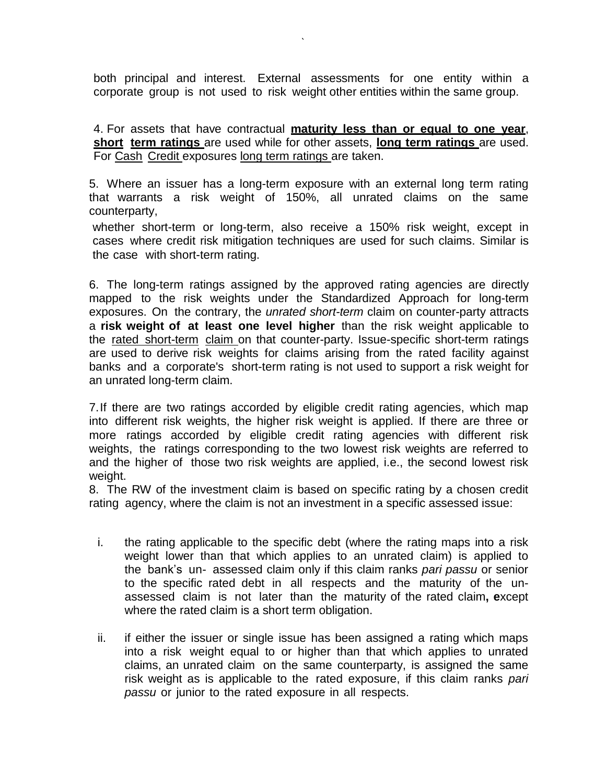both principal and interest. External assessments for one entity within a corporate group is not used to risk weight other entities within the same group.

`

4. For assets that have contractual **maturity less than or equal to one year**, **short term ratings** are used while for other assets, **long term ratings** are used. For Cash Credit exposures long term ratings are taken.

5. Where an issuer has a long-term exposure with an external long term rating that warrants a risk weight of 150%, all unrated claims on the same counterparty,

whether short-term or long-term, also receive a 150% risk weight, except in cases where credit risk mitigation techniques are used for such claims. Similar is the case with short-term rating.

6. The long-term ratings assigned by the approved rating agencies are directly mapped to the risk weights under the Standardized Approach for long-term exposures. On the contrary, the *unrated short-term* claim on counter-party attracts a **risk weight of at least one level higher** than the risk weight applicable to the rated short-term claim on that counter-party. Issue-specific short-term ratings are used to derive risk weights for claims arising from the rated facility against banks and a corporate's short-term rating is not used to support a risk weight for an unrated long-term claim.

7.If there are two ratings accorded by eligible credit rating agencies, which map into different risk weights, the higher risk weight is applied. If there are three or more ratings accorded by eligible credit rating agencies with different risk weights, the ratings corresponding to the two lowest risk weights are referred to and the higher of those two risk weights are applied, i.e., the second lowest risk weight.

8. The RW of the investment claim is based on specific rating by a chosen credit rating agency, where the claim is not an investment in a specific assessed issue:

- i. the rating applicable to the specific debt (where the rating maps into a risk weight lower than that which applies to an unrated claim) is applied to the bank"s un- assessed claim only if this claim ranks *pari passu* or senior to the specific rated debt in all respects and the maturity of the unassessed claim is not later than the maturity of the rated claim**, e**xcept where the rated claim is a short term obligation.
- ii. if either the issuer or single issue has been assigned a rating which maps into a risk weight equal to or higher than that which applies to unrated claims, an unrated claim on the same counterparty, is assigned the same risk weight as is applicable to the rated exposure, if this claim ranks *pari passu* or junior to the rated exposure in all respects.